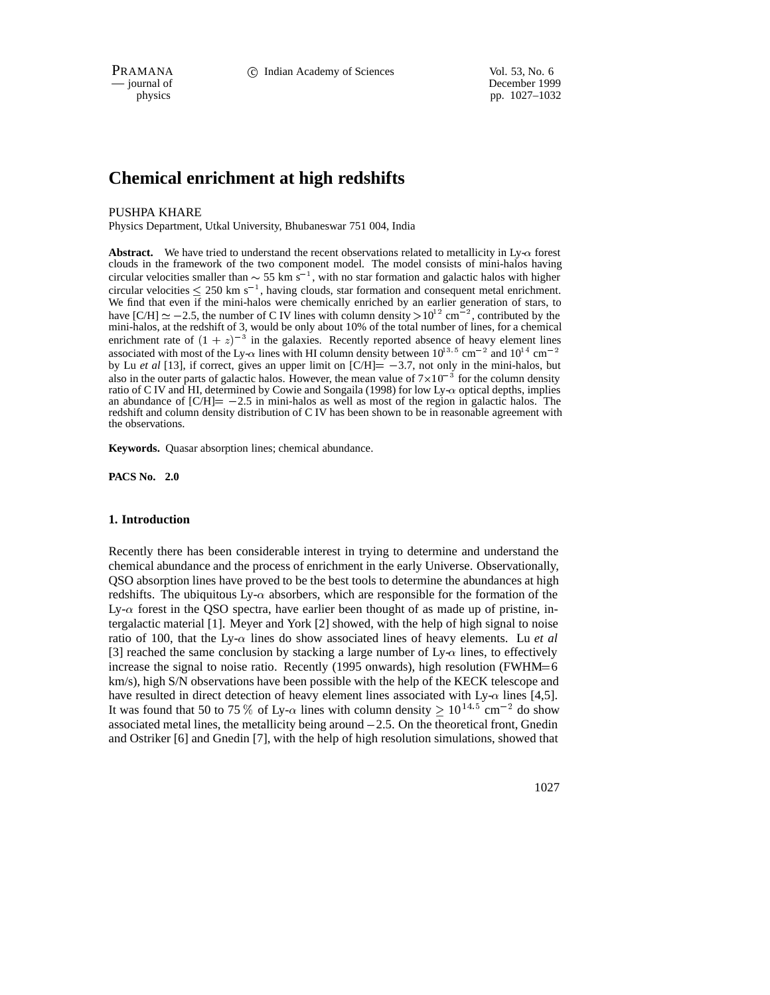PRAMANA 
<sup>C</sup> Indian Academy of Sciences 
<sup>Vol. 53, No. 6<br>
— journal of **C** Indian Academy of Sciences
<sup>Vol. 53, No. 6</sup></sup>

December 1999 physics pp. 1027–1032

# **Chemical enrichment at high redshifts**

#### PUSHPA KHARE

Physics Department, Utkal University, Bhubaneswar 751 004, India

**Abstract.** We have tried to understand the recent observations related to metallicity in Ly- $\alpha$  forest clouds in the framework of the two component model. The model consists of mini-halos having circular velocities smaller than  $\sim$  55 km s<sup>-1</sup>, with no star formation and galactic halos with higher circular velocities  $\leq 250$  km s<sup>-1</sup>, having clouds, star formation and consequent metal enrichment. We find that even  $\overline{if}$  the mini-halos were chemically enriched by an earlier generation of stars, to have  $[C/H] \simeq -2.5$ , the number of C IV lines with column density  $> 10^{12}$  cm<sup>-2</sup>, contributed by the mini-halos, at the redshift of 3, would be only about 10% of the total number of lines, for a chemical enrichment rate of  $(1 + z)^{-3}$  in the galaxies. Recently reported absence of heavy element lines associated with most of the Ly- $\alpha$  lines with HI column density between  $10^{13.5}$  cm<sup>-2</sup> and  $10^{14}$  cm<sup>-2</sup> by Lu *et al* [13], if correct, gives an upper limit on  $[CH] = -3.7$ , not only in the mini-halos, but also in the outer parts of galactic halos. However, the mean value of  $7 \times 10^{-3}$  for the column density ratio of C IV and HI, determined by Cowie and Songaila (1998) for low  $Ly-\alpha$  optical depths, implies an abundance of  $\text{[C/H]} = -2.5$  in mini-halos as well as most of the region in galactic halos. The redshift and column density distribution of C IV has been shown to be in reasonable agreement with the observations.

**Keywords.** Quasar absorption lines; chemical abundance.

**PACS No. 2.0**

#### **1. Introduction**

Recently there has been considerable interest in trying to determine and understand the chemical abundance and the process of enrichment in the early Universe. Observationally, QSO absorption lines have proved to be the best tools to determine the abundances at high redshifts. The ubiquitous  $Ly-\alpha$  absorbers, which are responsible for the formation of the Ly- $\alpha$  forest in the QSO spectra, have earlier been thought of as made up of pristine, intergalactic material [1]. Meyer and York [2] showed, with the help of high signal to noise ratio of 100, that the Ly- $\alpha$  lines do show associated lines of heavy elements. Lu *et al* [3] reached the same conclusion by stacking a large number of  $Ly \alpha$  lines, to effectively increase the signal to noise ratio. Recently (1995 onwards), high resolution (FWHM=6 km/s), high S/N observations have been possible with the help of the KECK telescope and have resulted in direct detection of heavy element lines associated with  $Ly_{\alpha}$  lines [4,5]. It was found that 50 to 75 % of Ly- $\alpha$  lines with column density  $\geq 10^{14.5}$  cm<sup>-2</sup> do show associated metallines, the metallicity being around  $-2.5$ . On the theoretical front, Gnedin and Ostriker [6] and Gnedin [7], with the help of high resolution simulations, showed that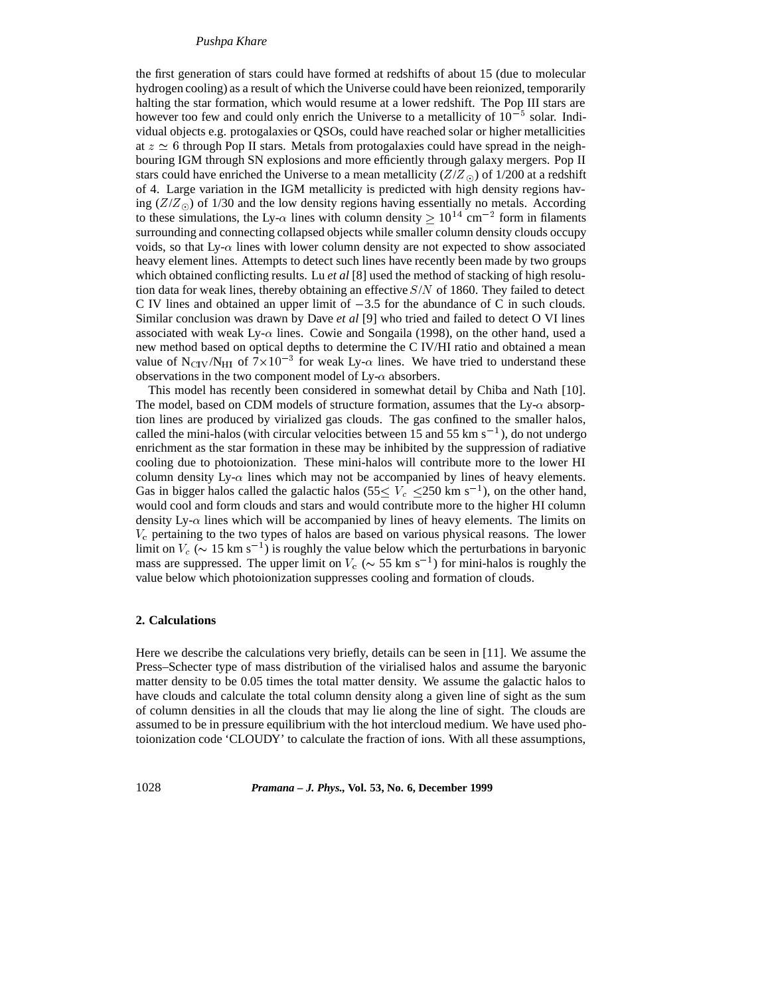# *Pushpa Khare*

the first generation of stars could have formed at redshifts of about 15 (due to molecular hydrogen cooling) as a result of which the Universe could have been reionized, temporarily halting the star formation, which would resume at a lower redshift. The Pop III stars are however too few and could only enrich the Universe to a metallicity of  $10^{-5}$  solar. Individual objects e.g. protogalaxies or QSOs, could have reached solar or higher metallicities at  $z \simeq 6$  through Pop II stars. Metals from protogalaxies could have spread in the neighbouring IGM through SN explosions and more efficiently through galaxy mergers. Pop II stars could have enriched the Universe to a mean metallicity  $(Z/Z_{\odot})$  of 1/200 at a redshift of 4. Large variation in the IGM metallicity is predicted with high density regions having  $(Z/Z_{\odot})$  of 1/30 and the low density regions having essentially no metals. According to these simulations, the Ly- $\alpha$  lines with column density  $\geq 10^{14}$  cm<sup>-2</sup> form in filaments surrounding and connecting collapsed objects while smaller column density clouds occupy voids, so that  $Ly-\alpha$  lines with lower column density are not expected to show associated heavy element lines. Attempts to detect such lines have recently been made by two groups which obtained conflicting results. Lu *et al* [8] used the method of stacking of high resolution data for weak lines, thereby obtaining an effective  $S/N$  of 1860. They failed to detect C IV lines and obtained an upper limit of  $-3.5$  for the abundance of C in such clouds. Similar conclusion was drawn by Dave *et al* [9] who tried and failed to detect O VI lines associated with weak Ly- $\alpha$  lines. Cowie and Songaila (1998), on the other hand, used a new method based on optical depths to determine the C IV/HI ratio and obtained a mean value of N<sub>CIV</sub>/N<sub>HI</sub> of  $7\times10^{-3}$  for weak Ly- $\alpha$  lines. We have tried to understand these observations in the two component model of Ly- $\alpha$  absorbers.

This model has recently been considered in somewhat detail by Chiba and Nath [10]. The model, based on CDM models of structure formation, assumes that the  $Ly_{\alpha}$  absorption lines are produced by virialized gas clouds. The gas confined to the smaller halos, called the mini-halos (with circular velocities between 15 and 55 km s<sup>-1</sup>), do not undergo enrichment as the star formation in these may be inhibited by the suppression of radiative cooling due to photoionization. These mini-halos will contribute more to the lower HI column density Ly- $\alpha$  lines which may not be accompanied by lines of heavy elements. Gas in bigger halos called the galactic halos  $(55 \le V_c \le 250 \text{ km s}^{-1})$ , on the other hand, would cool and form clouds and stars and would contribute more to the higher HI column density Ly- $\alpha$  lines which will be accompanied by lines of heavy elements. The limits on  $V_c$  pertaining to the two types of halos are based on various physical reasons. The lower limit on  $V_c$  ( $\sim 15$  km s<sup>-1</sup>) is roughly the value below which the perturbations in baryonic mass are suppressed. The upper limit on  $V_c$  ( $\sim$  55 km s<sup>-1</sup>) for mini-halos is roughly the value below which photoionization suppresses cooling and formation of clouds.

### **2. Calculations**

Here we describe the calculations very briefly, details can be seen in [11]. We assume the Press–Schecter type of mass distribution of the virialised halos and assume the baryonic matter density to be 0.05 times the total matter density. We assume the galactic halos to have clouds and calculate the total column density along a given line of sight as the sum of column densities in all the clouds that may lie along the line of sight. The clouds are assumed to be in pressure equilibrium with the hot intercloud medium. We have used photoionization code 'CLOUDY' to calculate the fraction of ions. With all these assumptions,

1028 *Pramana – J. Phys.,* **Vol. 53, No. 6, December 1999**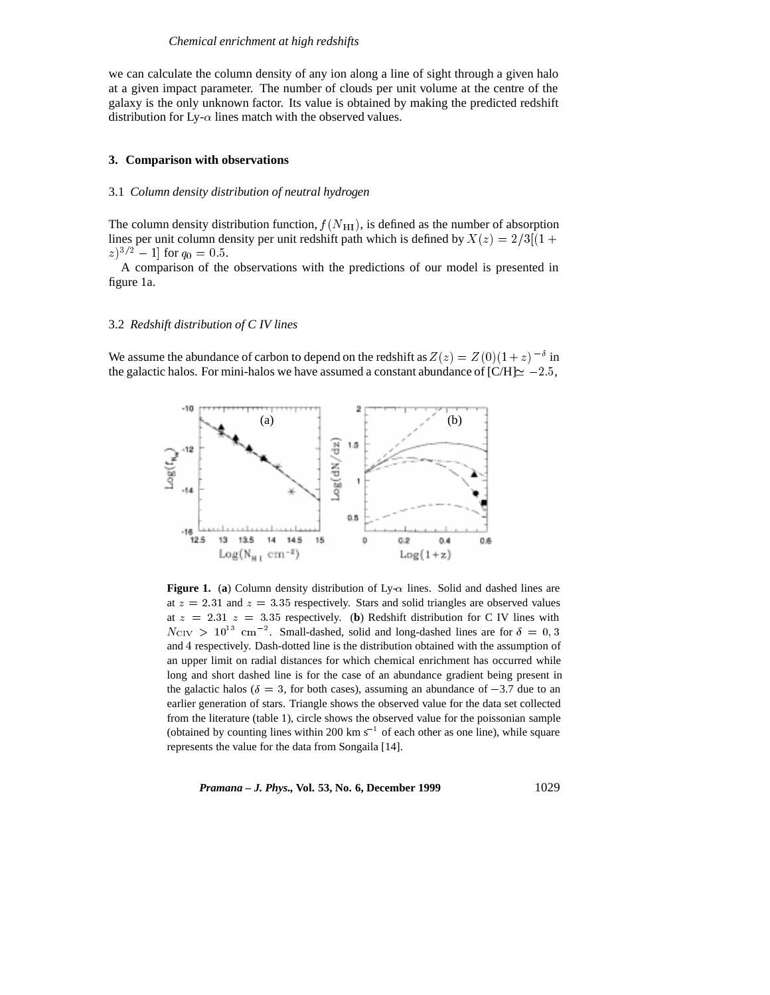we can calculate the column density of any ion along a line of sight through a given halo at a given impact parameter. The number of clouds per unit volume at the centre of the galaxy is the only unknown factor. Its value is obtained by making the predicted redshift distribution for Ly- $\alpha$  lines match with the observed values.

# **3. Comparison with observations**

#### 3.1 *Column density distribution of neutral hydrogen*

The column density distribution function,  $f(N_{\text{H1}})$ , is defined as the number of absorption lines per unit column density per unit redshift path which is defined by  $X(z)=2/3[(1 +$  $(z)^{3/2} - 1$ ] for  $q_0 = 0.5$ .

A comparison of the observations with the predictions of our model is presented in figure 1a.

### 3.2 *Redshift distribution of C IV lines*

We assume the abundance of carbon to depend on the redshift as  $Z(z) = Z(0)(1+z)^{-\delta}$  in the galactic halos. For mini-halos we have assumed a constant abundance of  $\text{[C/H]} \simeq -2.5$ ,



**Figure 1.** (a) Column density distribution of Ly- $\alpha$  lines. Solid and dashed lines are at  $z = 2.31$  and  $z = 3.35$  respectively. Stars and solid triangles are observed values at  $z = 2.31 z = 3.35$  respectively. (**b**) Redshift distribution for C IV lines with  $N_{\text{CIV}} > 10^{13}$  cm<sup>-2</sup>. Small-dashed, solid and long-dashed lines are for  $\delta = 0,3$ and <sup>4</sup> respectively. Dash-dotted line is the distribution obtained with the assumption of an upper limit on radial distances for which chemical enrichment has occurred while long and short dashed line is for the case of an abundance gradient being present in the galactic halos ( $\delta = 3$ , for both cases), assuming an abundance of -3.7 due to an earlier generation of stars. Triangle shows the observed value for the data set collected from the literature (table 1), circle shows the observed value for the poissonian sample (obtained by counting lines within 200 km  $s^{-1}$  of each other as one line), while square represents the value for the data from Songaila [14].

*Pramana – J. Phys., Vol.* 53, No. 6, December 1999 1029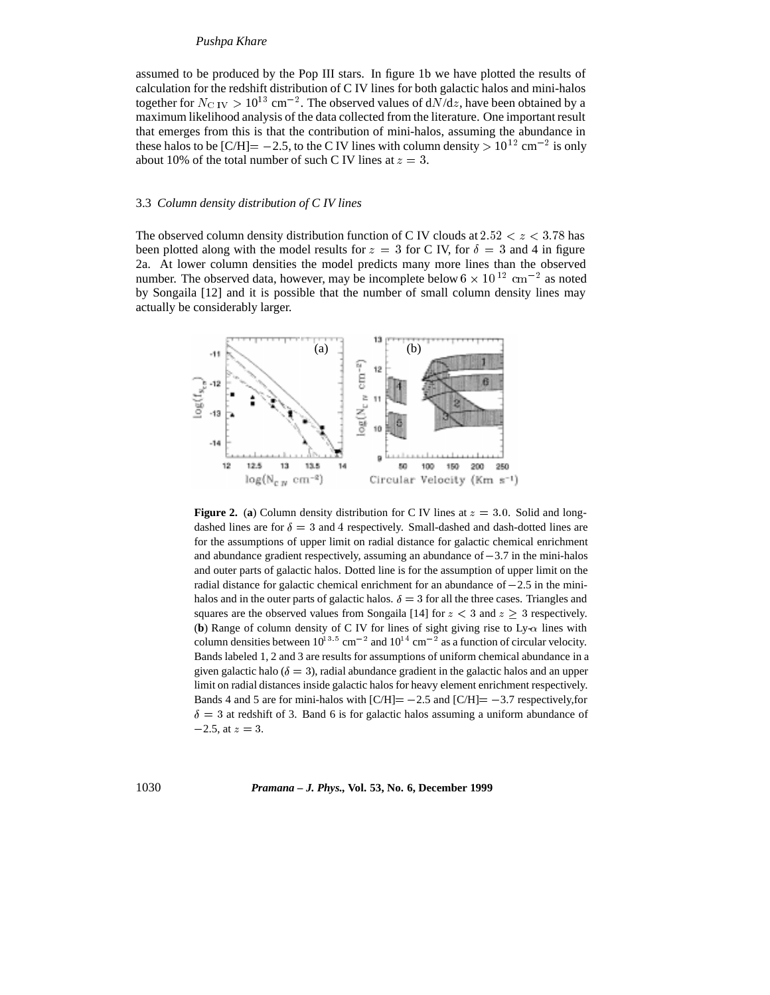# *Pushpa Khare*

assumed to be produced by the Pop III stars. In figure 1b we have plotted the results of calculation for the redshift distribution of C IV lines for both galactic halos and mini-halos together for  $N_{\text{C IV}} > 10^{13} \text{ cm}^{-2}$ . The observed values of  $dN/dz$ , have been obtained by a maximum likelihood analysis of the data collected from the literature. One important result that emerges from this is that the contribution of mini-halos, assuming the abundance in these halos to be [C/H]=  $-2.5$ , to the C IV lines with column density  $> 10^{12}$  cm<sup>-2</sup> is only about 10% of the total number of such C IV lines at  $z = 3$ .

### 3.3 *Column density distribution of C IV lines*

The observed column density distribution function of C IV clouds at  $2.52 < z < 3.78$  has been plotted along with the model results for  $z = 3$  for C IV, for  $\delta = 3$  and 4 in figure 2a. At lower column densities the model predicts many more lines than the observed number. The observed data, however, may be incomplete below  $6 \times 10^{12} \text{ cm}^{-2}$  as noted by Songaila [12] and it is possible that the number of small column density lines may actually be considerably larger.



**Figure 2.** (a) Column density distribution for C IV lines at  $z = 3.0$ . Solid and longdashed lines are for  $\delta = 3$  and 4 respectively. Small-dashed and dash-dotted lines are for the assumptions of upper limit on radial distance for galactic chemical enrichment and abundance gradient respectively, assuming an abundance of  $-3.7$  in the mini-halos and outer parts of galactic halos. Dotted line is for the assumption of upper limit on the radial distance for galactic chemical enrichment for an abundance of  $-2.5$  in the minihalos and in the outer parts of galactic halos.  $\delta = 3$  for all the three cases. Triangles and squares are the observed values from Songaila [14] for  $z < 3$  and  $z \ge 3$  respectively. (**b**) Range of column density of C IV for lines of sight giving rise to  $Ly-\alpha$  lines with column densities between  $10^{13/5}$  cm<sup>-2</sup> and  $10^{14}$  cm<sup>-2</sup> as a function of circular velocity. Bands labeled 1, 2 and 3 are results for assumptions of uniform chemical abundance in a given galactic halo ( $\delta = 3$ ), radial abundance gradient in the galactic halos and an upper limit on radial distances inside galactic halos for heavy element enrichment respectively. Bands 4 and 5 are for mini-halos with  $\text{[C/H]} = -2.5$  and  $\text{[C/H]} = -3.7$  respectively, for  $\delta = 3$  at redshift of 3. Band 6 is for galactic halos assuming a uniform abundance of  $-2.5$ , at  $z = 3$ .

1030 *Pramana – J. Phys.,* **Vol. 53, No. 6, December 1999**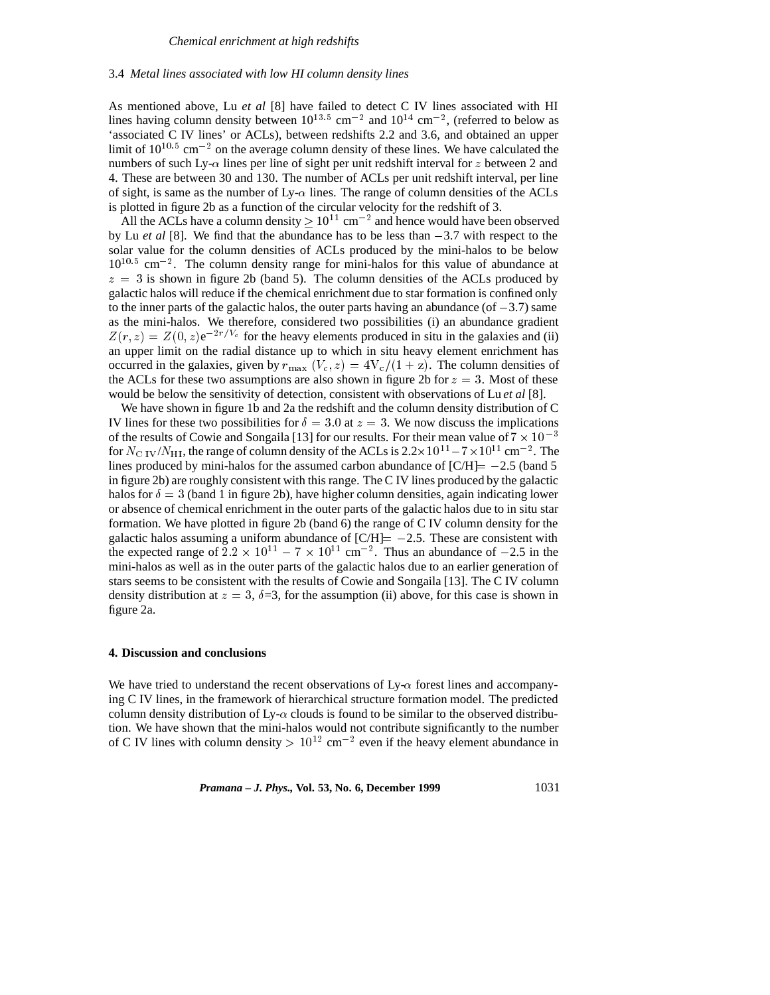#### 3.4 *Metal lines associated with low HI column density lines*

As mentioned above, Lu *et al* [8] have failed to detect C IV lines associated with HI lines having column density between  $10^{13.5}$  cm<sup>-2</sup> and  $10^{14}$  cm<sup>-2</sup>, (referred to below as 'associated C IV lines' or ACLs), between redshifts 2.2 and 3.6, and obtained an upper limit of  $10^{10.5}$  cm<sup>-2</sup> on the average column density of these lines. We have calculated the numbers of such Ly- $\alpha$  lines per line of sight per unit redshift interval for z between 2 and 4. These are between 30 and 130. The number of ACLs per unit redshift interval, per line of sight, is same as the number of  $Ly - \alpha$  lines. The range of column densities of the ACLs is plotted in figure 2b as a function of the circular velocity for the redshift of 3.

All the ACLs have a column density  $\geq 10^{11}$  cm<sup>-2</sup> and hence would have been observed by Lu *et al* [8]. We find that the abundance has to be less than  $-3.7$  with respect to the solar value for the column densities of ACLs produced by the mini-halos to be below  $10^{10.5}$  cm<sup>-2</sup>. The column density range for mini-halos for this value of abundance at  $z = 3$  is shown in figure 2b (band 5). The column densities of the ACLs produced by galactic halos will reduce if the chemical enrichment due to star formation is confined only to the inner parts of the galactic halos, the outer parts having an abundance (of  $-3.7$ ) same as the mini-halos. We therefore, considered two possibilities (i) an abundance gradient  $Z(r, z) = Z(0, z)e^{-2r/V_c}$  for the heavy elements produced in situ in the galaxies and (ii) an upper limit on the radial distance up to which in situ heavy element enrichment has occurred in the galaxies, given by  $r_{\text{max}}$  ( $V_c$ ,  $z$ ) =  $4V_c/(1 + z)$ . The column densities of the ACLs for these two assumptions are also shown in figure 2b for  $z = 3$ . Most of these would be below the sensitivity of detection, consistent with observations of Lu *et al* [8].

We have shown in figure 1b and 2a the redshift and the column density distribution of C IV lines for these two possibilities for  $\delta = 3.0$  at  $z = 3$ . We now discuss the implications of the results of Cowie and Songaila [13] for our results. For their mean value of  $7 \times 10^{-3}$ for  $N_{\rm C\ IV}/N_{\rm HI}$ , the range of column density of the ACLs is  $2.2\times10^{11}$  –  $7\times10^{11}$  cm<sup>-2</sup>. The lines produced by mini-halos for the assumed carbon abundance of  $\text{[C/H]} = -2.5$  (band 5) in figure 2b) are roughly consistent with this range. The C IV lines produced by the galactic halos for  $\delta = 3$  (band 1 in figure 2b), have higher column densities, again indicating lower or absence of chemical enrichment in the outer parts of the galactic halos due to in situ star formation. We have plotted in figure 2b (band 6) the range of C IV column density for the galactic halos assuming a uniform abundance of  $\text{[C/H]} = -2.5$ . These are consistent with the expected range of  $2.2 \times 10^{11} - 7 \times 10^{11}$  cm<sup>-2</sup>. Thus an abundance of -2.5 in the mini-halos as well as in the outer parts of the galactic halos due to an earlier generation of stars seems to be consistent with the results of Cowie and Songaila [13]. The C IV column density distribution at  $z = 3$ ,  $\delta = 3$ , for the assumption (ii) above, for this case is shown in figure 2a.

#### **4. Discussion and conclusions**

We have tried to understand the recent observations of  $Ly<sub>-\alpha</sub>$  forest lines and accompanying C IV lines, in the framework of hierarchical structure formation model. The predicted column density distribution of Ly- $\alpha$  clouds is found to be similar to the observed distribution. We have shown that the mini-halos would not contribute significantly to the number of C IV lines with column density  $> 10^{12}$  cm<sup>-2</sup> even if the heavy element abundance in

*Pramana – J. Phys., Vol.* 53, No. 6, December 1999 1031